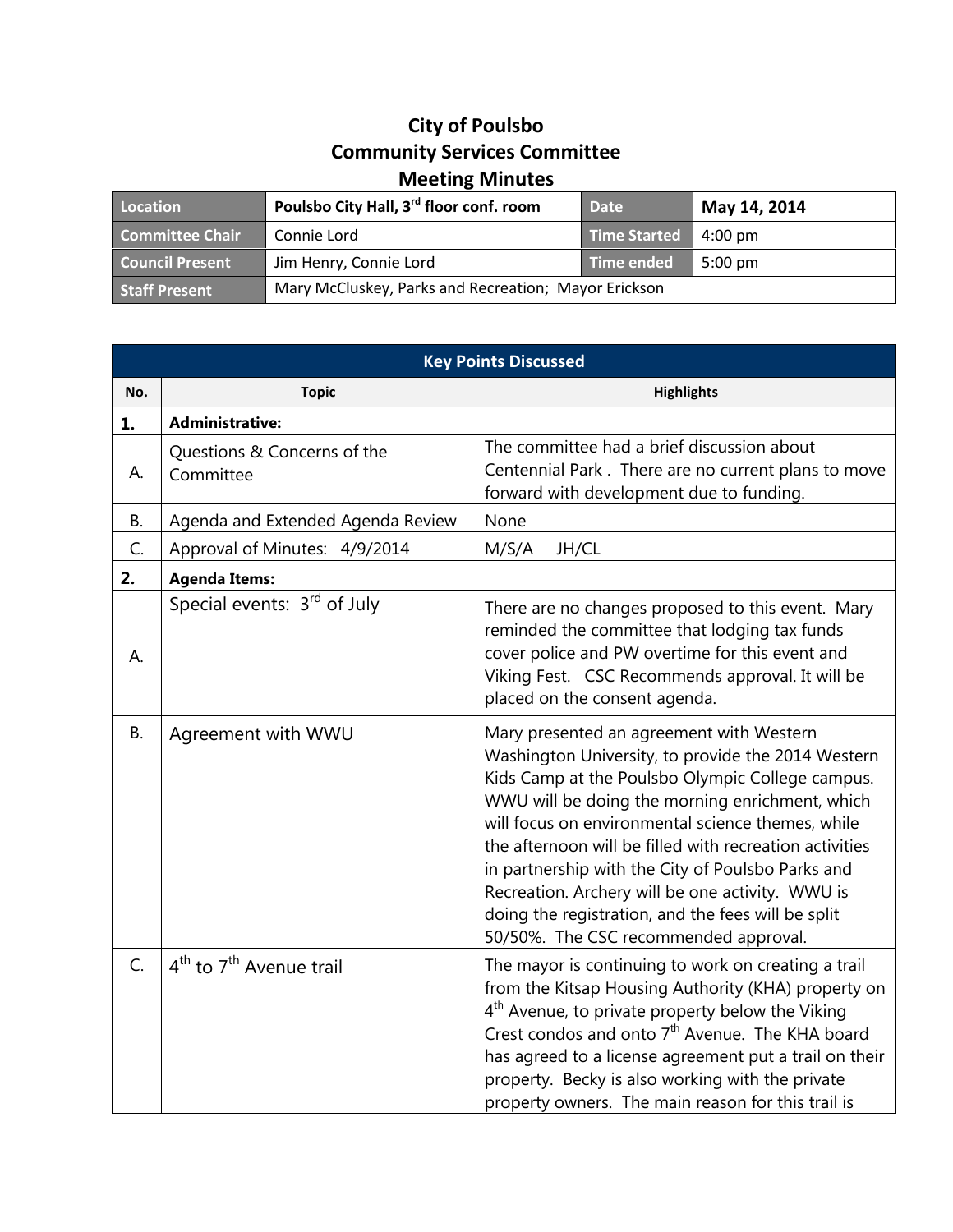## **City of Poulsbo Community Services Committee Meeting Minutes**

| Location               | Poulsbo City Hall, 3 <sup>rd</sup> floor conf. room  | <b>Date</b>  | May 14, 2014      |
|------------------------|------------------------------------------------------|--------------|-------------------|
| Committee Chair        | Connie Lord                                          | Time Started | 4:00 pm           |
| <b>Council Present</b> | Jim Henry, Connie Lord                               | Time ended   | $5:00 \text{ pm}$ |
| <b>Staff Present</b>   | Mary McCluskey, Parks and Recreation; Mayor Erickson |              |                   |

| <b>Key Points Discussed</b> |                                          |                                                                                                                                                                                                                                                                                                                                                                                                                                                                                                                               |  |
|-----------------------------|------------------------------------------|-------------------------------------------------------------------------------------------------------------------------------------------------------------------------------------------------------------------------------------------------------------------------------------------------------------------------------------------------------------------------------------------------------------------------------------------------------------------------------------------------------------------------------|--|
| No.                         | <b>Topic</b>                             | <b>Highlights</b>                                                                                                                                                                                                                                                                                                                                                                                                                                                                                                             |  |
| 1.                          | <b>Administrative:</b>                   |                                                                                                                                                                                                                                                                                                                                                                                                                                                                                                                               |  |
| А.                          | Questions & Concerns of the<br>Committee | The committee had a brief discussion about<br>Centennial Park. There are no current plans to move<br>forward with development due to funding.                                                                                                                                                                                                                                                                                                                                                                                 |  |
| <b>B.</b>                   | Agenda and Extended Agenda Review        | None                                                                                                                                                                                                                                                                                                                                                                                                                                                                                                                          |  |
| C.                          | Approval of Minutes: 4/9/2014            | M/S/A<br>JH/CL                                                                                                                                                                                                                                                                                                                                                                                                                                                                                                                |  |
| 2.                          | <b>Agenda Items:</b>                     |                                                                                                                                                                                                                                                                                                                                                                                                                                                                                                                               |  |
| А.                          | Special events: 3rd of July              | There are no changes proposed to this event. Mary<br>reminded the committee that lodging tax funds<br>cover police and PW overtime for this event and<br>Viking Fest. CSC Recommends approval. It will be<br>placed on the consent agenda.                                                                                                                                                                                                                                                                                    |  |
| <b>B.</b>                   | Agreement with WWU                       | Mary presented an agreement with Western<br>Washington University, to provide the 2014 Western<br>Kids Camp at the Poulsbo Olympic College campus.<br>WWU will be doing the morning enrichment, which<br>will focus on environmental science themes, while<br>the afternoon will be filled with recreation activities<br>in partnership with the City of Poulsbo Parks and<br>Recreation. Archery will be one activity. WWU is<br>doing the registration, and the fees will be split<br>50/50%. The CSC recommended approval. |  |
| C.                          | $4th$ to $7th$ Avenue trail              | The mayor is continuing to work on creating a trail<br>from the Kitsap Housing Authority (KHA) property on<br>4 <sup>th</sup> Avenue, to private property below the Viking<br>Crest condos and onto 7 <sup>th</sup> Avenue. The KHA board<br>has agreed to a license agreement put a trail on their<br>property. Becky is also working with the private<br>property owners. The main reason for this trail is                                                                                                                 |  |